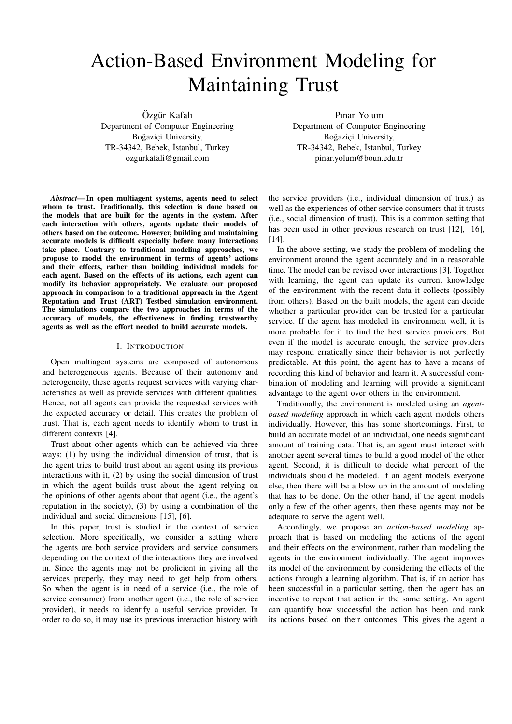# Action-Based Environment Modeling for Maintaining Trust

Özgür Kafalı Department of Computer Engineering Boğaziçi University, TR-34342, Bebek, İstanbul, Turkey ozgurkafali@gmail.com

*Abstract*— In open multiagent systems, agents need to select whom to trust. Traditionally, this selection is done based on the models that are built for the agents in the system. After each interaction with others, agents update their models of others based on the outcome. However, building and maintaining accurate models is difficult especially before many interactions take place. Contrary to traditional modeling approaches, we propose to model the environment in terms of agents' actions and their effects, rather than building individual models for each agent. Based on the effects of its actions, each agent can modify its behavior appropriately. We evaluate our proposed approach in comparison to a traditional approach in the Agent Reputation and Trust (ART) Testbed simulation environment. The simulations compare the two approaches in terms of the accuracy of models, the effectiveness in finding trustworthy agents as well as the effort needed to build accurate models.

### I. INTRODUCTION

Open multiagent systems are composed of autonomous and heterogeneous agents. Because of their autonomy and heterogeneity, these agents request services with varying characteristics as well as provide services with different qualities. Hence, not all agents can provide the requested services with the expected accuracy or detail. This creates the problem of trust. That is, each agent needs to identify whom to trust in different contexts [4].

Trust about other agents which can be achieved via three ways: (1) by using the individual dimension of trust, that is the agent tries to build trust about an agent using its previous interactions with it, (2) by using the social dimension of trust in which the agent builds trust about the agent relying on the opinions of other agents about that agent (i.e., the agent's reputation in the society), (3) by using a combination of the individual and social dimensions [15], [6].

In this paper, trust is studied in the context of service selection. More specifically, we consider a setting where the agents are both service providers and service consumers depending on the context of the interactions they are involved in. Since the agents may not be proficient in giving all the services properly, they may need to get help from others. So when the agent is in need of a service (i.e., the role of service consumer) from another agent (i.e., the role of service provider), it needs to identify a useful service provider. In order to do so, it may use its previous interaction history with

Pınar Yolum

Department of Computer Engineering Boğazici University, TR-34342, Bebek, İstanbul, Turkey pinar.yolum@boun.edu.tr

the service providers (i.e., individual dimension of trust) as well as the experiences of other service consumers that it trusts (i.e., social dimension of trust). This is a common setting that has been used in other previous research on trust [12], [16],  $[14]$ .

In the above setting, we study the problem of modeling the environment around the agent accurately and in a reasonable time. The model can be revised over interactions [3]. Together with learning, the agent can update its current knowledge of the environment with the recent data it collects (possibly from others). Based on the built models, the agent can decide whether a particular provider can be trusted for a particular service. If the agent has modeled its environment well, it is more probable for it to find the best service providers. But even if the model is accurate enough, the service providers may respond erratically since their behavior is not perfectly predictable. At this point, the agent has to have a means of recording this kind of behavior and learn it. A successful combination of modeling and learning will provide a significant advantage to the agent over others in the environment.

Traditionally, the environment is modeled using an *agentbased modeling* approach in which each agent models others individually. However, this has some shortcomings. First, to build an accurate model of an individual, one needs significant amount of training data. That is, an agent must interact with another agent several times to build a good model of the other agent. Second, it is difficult to decide what percent of the individuals should be modeled. If an agent models everyone else, then there will be a blow up in the amount of modeling that has to be done. On the other hand, if the agent models only a few of the other agents, then these agents may not be adequate to serve the agent well.

Accordingly, we propose an *action-based modeling* approach that is based on modeling the actions of the agent and their effects on the environment, rather than modeling the agents in the environment individually. The agent improves its model of the environment by considering the effects of the actions through a learning algorithm. That is, if an action has been successful in a particular setting, then the agent has an incentive to repeat that action in the same setting. An agent can quantify how successful the action has been and rank its actions based on their outcomes. This gives the agent a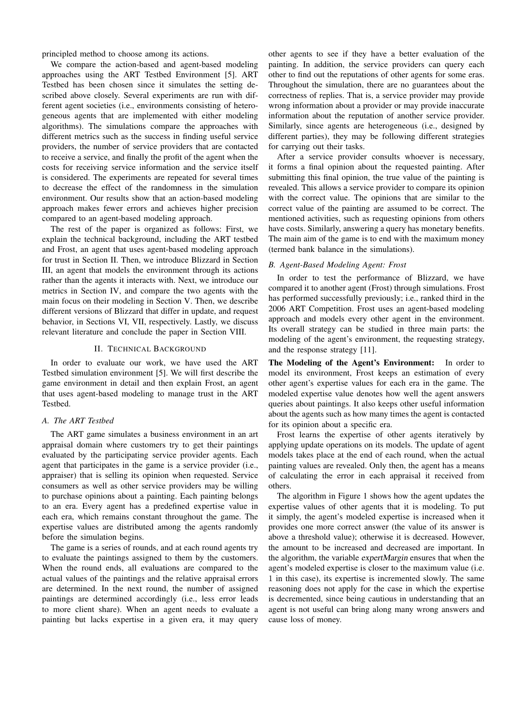principled method to choose among its actions.

We compare the action-based and agent-based modeling approaches using the ART Testbed Environment [5]. ART Testbed has been chosen since it simulates the setting described above closely. Several experiments are run with different agent societies (i.e., environments consisting of heterogeneous agents that are implemented with either modeling algorithms). The simulations compare the approaches with different metrics such as the success in finding useful service providers, the number of service providers that are contacted to receive a service, and finally the profit of the agent when the costs for receiving service information and the service itself is considered. The experiments are repeated for several times to decrease the effect of the randomness in the simulation environment. Our results show that an action-based modeling approach makes fewer errors and achieves higher precision compared to an agent-based modeling approach.

The rest of the paper is organized as follows: First, we explain the technical background, including the ART testbed and Frost, an agent that uses agent-based modeling approach for trust in Section II. Then, we introduce Blizzard in Section III, an agent that models the environment through its actions rather than the agents it interacts with. Next, we introduce our metrics in Section IV, and compare the two agents with the main focus on their modeling in Section V. Then, we describe different versions of Blizzard that differ in update, and request behavior, in Sections VI, VII, respectively. Lastly, we discuss relevant literature and conclude the paper in Section VIII.

#### II. TECHNICAL BACKGROUND

In order to evaluate our work, we have used the ART Testbed simulation environment [5]. We will first describe the game environment in detail and then explain Frost, an agent that uses agent-based modeling to manage trust in the ART Testbed.

# *A. The ART Testbed*

The ART game simulates a business environment in an art appraisal domain where customers try to get their paintings evaluated by the participating service provider agents. Each agent that participates in the game is a service provider (i.e., appraiser) that is selling its opinion when requested. Service consumers as well as other service providers may be willing to purchase opinions about a painting. Each painting belongs to an era. Every agent has a predefined expertise value in each era, which remains constant throughout the game. The expertise values are distributed among the agents randomly before the simulation begins.

The game is a series of rounds, and at each round agents try to evaluate the paintings assigned to them by the customers. When the round ends, all evaluations are compared to the actual values of the paintings and the relative appraisal errors are determined. In the next round, the number of assigned paintings are determined accordingly (i.e., less error leads to more client share). When an agent needs to evaluate a painting but lacks expertise in a given era, it may query

other agents to see if they have a better evaluation of the painting. In addition, the service providers can query each other to find out the reputations of other agents for some eras. Throughout the simulation, there are no guarantees about the correctness of replies. That is, a service provider may provide wrong information about a provider or may provide inaccurate information about the reputation of another service provider. Similarly, since agents are heterogeneous (i.e., designed by different parties), they may be following different strategies for carrying out their tasks.

After a service provider consults whoever is necessary, it forms a final opinion about the requested painting. After submitting this final opinion, the true value of the painting is revealed. This allows a service provider to compare its opinion with the correct value. The opinions that are similar to the correct value of the painting are assumed to be correct. The mentioned activities, such as requesting opinions from others have costs. Similarly, answering a query has monetary benefits. The main aim of the game is to end with the maximum money (termed bank balance in the simulations).

#### *B. Agent-Based Modeling Agent: Frost*

In order to test the performance of Blizzard, we have compared it to another agent (Frost) through simulations. Frost has performed successfully previously; i.e., ranked third in the 2006 ART Competition. Frost uses an agent-based modeling approach and models every other agent in the environment. Its overall strategy can be studied in three main parts: the modeling of the agent's environment, the requesting strategy, and the response strategy [11].

The Modeling of the Agent's Environment: In order to model its environment, Frost keeps an estimation of every other agent's expertise values for each era in the game. The modeled expertise value denotes how well the agent answers queries about paintings. It also keeps other useful information about the agents such as how many times the agent is contacted for its opinion about a specific era.

Frost learns the expertise of other agents iteratively by applying update operations on its models. The update of agent models takes place at the end of each round, when the actual painting values are revealed. Only then, the agent has a means of calculating the error in each appraisal it received from others.

The algorithm in Figure 1 shows how the agent updates the expertise values of other agents that it is modeling. To put it simply, the agent's modeled expertise is increased when it provides one more correct answer (the value of its answer is above a threshold value); otherwise it is decreased. However, the amount to be increased and decreased are important. In the algorithm, the variable expertMargin ensures that when the agent's modeled expertise is closer to the maximum value (i.e. 1 in this case), its expertise is incremented slowly. The same reasoning does not apply for the case in which the expertise is decremented, since being cautious in understanding that an agent is not useful can bring along many wrong answers and cause loss of money.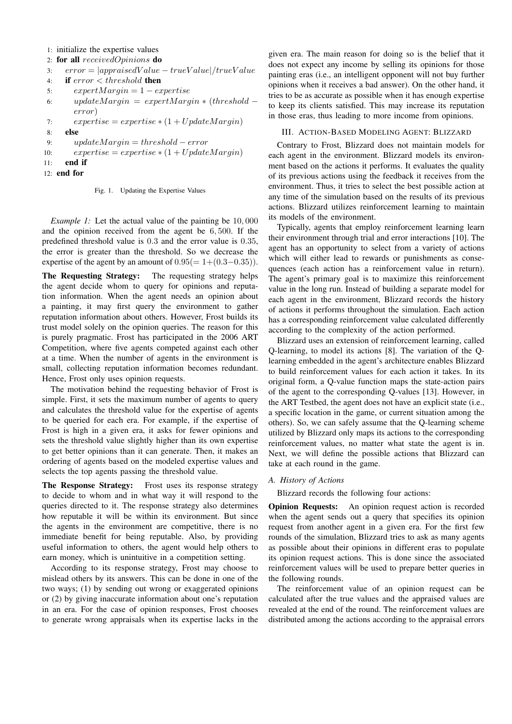1: initialize the expertise values

```
2: for all receivedOpinions do
3: error = |approise dValue - trueValue| / trueValue4: if error < threshold then
5: experMarq in = 1 - expertise6: updateMargin = expertMargin * (threshold –
      error)
7: expertise = expertise * (1 + UpdateMargin)8: else
9: updateMargin = threshold - error10: expertise = expertise * (1 + UpdateMargin)11: end if
```

```
12: end for
```
Fig. 1. Updating the Expertise Values

*Example 1:* Let the actual value of the painting be 10,000 and the opinion received from the agent be 6, 500. If the predefined threshold value is 0.3 and the error value is 0.35, the error is greater than the threshold. So we decrease the expertise of the agent by an amount of  $0.95(= 1+(0.3-0.35)).$ 

The Requesting Strategy: The requesting strategy helps the agent decide whom to query for opinions and reputation information. When the agent needs an opinion about a painting, it may first query the environment to gather reputation information about others. However, Frost builds its trust model solely on the opinion queries. The reason for this is purely pragmatic. Frost has participated in the 2006 ART Competition, where five agents competed against each other at a time. When the number of agents in the environment is small, collecting reputation information becomes redundant. Hence, Frost only uses opinion requests.

The motivation behind the requesting behavior of Frost is simple. First, it sets the maximum number of agents to query and calculates the threshold value for the expertise of agents to be queried for each era. For example, if the expertise of Frost is high in a given era, it asks for fewer opinions and sets the threshold value slightly higher than its own expertise to get better opinions than it can generate. Then, it makes an ordering of agents based on the modeled expertise values and selects the top agents passing the threshold value.

The Response Strategy: Frost uses its response strategy to decide to whom and in what way it will respond to the queries directed to it. The response strategy also determines how reputable it will be within its environment. But since the agents in the environment are competitive, there is no immediate benefit for being reputable. Also, by providing useful information to others, the agent would help others to earn money, which is unintuitive in a competition setting.

According to its response strategy, Frost may choose to mislead others by its answers. This can be done in one of the two ways; (1) by sending out wrong or exaggerated opinions or (2) by giving inaccurate information about one's reputation in an era. For the case of opinion responses, Frost chooses to generate wrong appraisals when its expertise lacks in the

given era. The main reason for doing so is the belief that it does not expect any income by selling its opinions for those painting eras (i.e., an intelligent opponent will not buy further opinions when it receives a bad answer). On the other hand, it tries to be as accurate as possible when it has enough expertise to keep its clients satisfied. This may increase its reputation in those eras, thus leading to more income from opinions.

### III. ACTION-BASED MODELING AGENT: BLIZZARD

Contrary to Frost, Blizzard does not maintain models for each agent in the environment. Blizzard models its environment based on the actions it performs. It evaluates the quality of its previous actions using the feedback it receives from the environment. Thus, it tries to select the best possible action at any time of the simulation based on the results of its previous actions. Blizzard utilizes reinforcement learning to maintain its models of the environment.

Typically, agents that employ reinforcement learning learn their environment through trial and error interactions [10]. The agent has an opportunity to select from a variety of actions which will either lead to rewards or punishments as consequences (each action has a reinforcement value in return). The agent's primary goal is to maximize this reinforcement value in the long run. Instead of building a separate model for each agent in the environment, Blizzard records the history of actions it performs throughout the simulation. Each action has a corresponding reinforcement value calculated differently according to the complexity of the action performed.

Blizzard uses an extension of reinforcement learning, called Q-learning, to model its actions [8]. The variation of the Qlearning embedded in the agent's architecture enables Blizzard to build reinforcement values for each action it takes. In its original form, a Q-value function maps the state-action pairs of the agent to the corresponding Q-values [13]. However, in the ART Testbed, the agent does not have an explicit state (i.e., a specific location in the game, or current situation among the others). So, we can safely assume that the Q-learning scheme utilized by Blizzard only maps its actions to the corresponding reinforcement values, no matter what state the agent is in. Next, we will define the possible actions that Blizzard can take at each round in the game.

# *A. History of Actions*

Blizzard records the following four actions:

Opinion Requests: An opinion request action is recorded when the agent sends out a query that specifies its opinion request from another agent in a given era. For the first few rounds of the simulation, Blizzard tries to ask as many agents as possible about their opinions in different eras to populate its opinion request actions. This is done since the associated reinforcement values will be used to prepare better queries in the following rounds.

The reinforcement value of an opinion request can be calculated after the true values and the appraised values are revealed at the end of the round. The reinforcement values are distributed among the actions according to the appraisal errors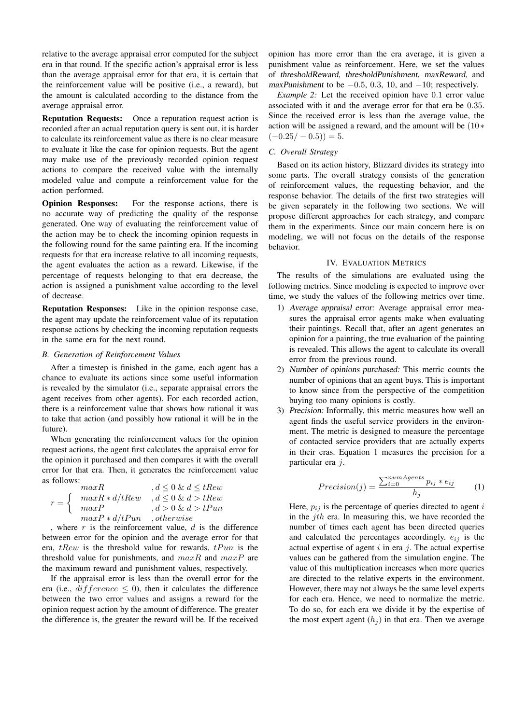relative to the average appraisal error computed for the subject era in that round. If the specific action's appraisal error is less than the average appraisal error for that era, it is certain that the reinforcement value will be positive (i.e., a reward), but the amount is calculated according to the distance from the average appraisal error.

Reputation Requests: Once a reputation request action is recorded after an actual reputation query is sent out, it is harder to calculate its reinforcement value as there is no clear measure to evaluate it like the case for opinion requests. But the agent may make use of the previously recorded opinion request actions to compare the received value with the internally modeled value and compute a reinforcement value for the action performed.

Opinion Responses: For the response actions, there is no accurate way of predicting the quality of the response generated. One way of evaluating the reinforcement value of the action may be to check the incoming opinion requests in the following round for the same painting era. If the incoming requests for that era increase relative to all incoming requests, the agent evaluates the action as a reward. Likewise, if the percentage of requests belonging to that era decrease, the action is assigned a punishment value according to the level of decrease.

Reputation Responses: Like in the opinion response case, the agent may update the reinforcement value of its reputation response actions by checking the incoming reputation requests in the same era for the next round.

## *B. Generation of Reinforcement Values*

After a timestep is finished in the game, each agent has a chance to evaluate its actions since some useful information is revealed by the simulator (i.e., separate appraisal errors the agent receives from other agents). For each recorded action, there is a reinforcement value that shows how rational it was to take that action (and possibly how rational it will be in the future).

When generating the reinforcement values for the opinion request actions, the agent first calculates the appraisal error for the opinion it purchased and then compares it with the overall error for that era. Then, it generates the reinforcement value as follows:

| $r = \left\{\right.$ | maxR                        | $, d \leq 0 \& d \leq t$ Rew |
|----------------------|-----------------------------|------------------------------|
|                      | $maxR * d/tRew$             | $, d \leq 0 \& d > t$ Rew    |
|                      | maxP                        | $, d > 0 \& d > tPun$        |
|                      | $maxP * d/tPun$ , otherwise |                              |

, where  $r$  is the reinforcement value,  $d$  is the difference between error for the opinion and the average error for that era,  $t$ Rew is the threshold value for rewards,  $t$ Pun is the threshold value for punishments, and  $maxR$  and  $maxP$  are the maximum reward and punishment values, respectively.

If the appraisal error is less than the overall error for the era (i.e.,  $difference \leq 0$ ), then it calculates the difference between the two error values and assigns a reward for the opinion request action by the amount of difference. The greater the difference is, the greater the reward will be. If the received opinion has more error than the era average, it is given a punishment value as reinforcement. Here, we set the values of thresholdReward, thresholdPunishment, maxReward, and maxPunishment to be  $-0.5$ , 0.3, 10, and  $-10$ ; respectively.

*Example 2:* Let the received opinion have 0.1 error value associated with it and the average error for that era be 0.35. Since the received error is less than the average value, the action will be assigned a reward, and the amount will be (10∗  $(-0.25/-0.5)) = 5.$ 

# *C. Overall Strategy*

Based on its action history, Blizzard divides its strategy into some parts. The overall strategy consists of the generation of reinforcement values, the requesting behavior, and the response behavior. The details of the first two strategies will be given separately in the following two sections. We will propose different approaches for each strategy, and compare them in the experiments. Since our main concern here is on modeling, we will not focus on the details of the response behavior.

## IV. EVALUATION METRICS

The results of the simulations are evaluated using the following metrics. Since modeling is expected to improve over time, we study the values of the following metrics over time.

- 1) Average appraisal error: Average appraisal error measures the appraisal error agents make when evaluating their paintings. Recall that, after an agent generates an opinion for a painting, the true evaluation of the painting is revealed. This allows the agent to calculate its overall error from the previous round.
- 2) Number of opinions purchased: This metric counts the number of opinions that an agent buys. This is important to know since from the perspective of the competition buying too many opinions is costly.
- 3) Precision: Informally, this metric measures how well an agent finds the useful service providers in the environment. The metric is designed to measure the percentage of contacted service providers that are actually experts in their eras. Equation 1 measures the precision for a particular era j.

$$
Precision(j) = \frac{\sum_{i=0}^{num Agents} p_{ij} * e_{ij}}{h_j}
$$
 (1)

Here,  $p_{ij}$  is the percentage of queries directed to agent i in the  $jth$  era. In measuring this, we have recorded the number of times each agent has been directed queries and calculated the percentages accordingly.  $e_{ij}$  is the actual expertise of agent  $i$  in era  $j$ . The actual expertise values can be gathered from the simulation engine. The value of this multiplication increases when more queries are directed to the relative experts in the environment. However, there may not always be the same level experts for each era. Hence, we need to normalize the metric. To do so, for each era we divide it by the expertise of the most expert agent  $(h_i)$  in that era. Then we average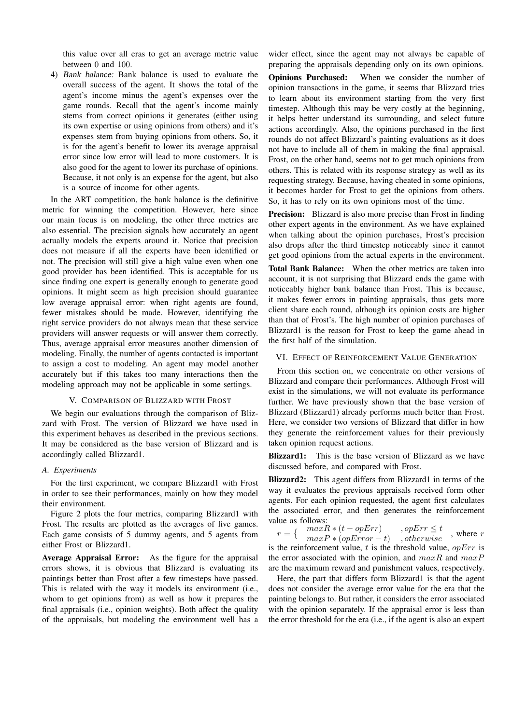this value over all eras to get an average metric value between 0 and 100.

4) Bank balance: Bank balance is used to evaluate the overall success of the agent. It shows the total of the agent's income minus the agent's expenses over the game rounds. Recall that the agent's income mainly stems from correct opinions it generates (either using its own expertise or using opinions from others) and it's expenses stem from buying opinions from others. So, it is for the agent's benefit to lower its average appraisal error since low error will lead to more customers. It is also good for the agent to lower its purchase of opinions. Because, it not only is an expense for the agent, but also is a source of income for other agents.

In the ART competition, the bank balance is the definitive metric for winning the competition. However, here since our main focus is on modeling, the other three metrics are also essential. The precision signals how accurately an agent actually models the experts around it. Notice that precision does not measure if all the experts have been identified or not. The precision will still give a high value even when one good provider has been identified. This is acceptable for us since finding one expert is generally enough to generate good opinions. It might seem as high precision should guarantee low average appraisal error: when right agents are found, fewer mistakes should be made. However, identifying the right service providers do not always mean that these service providers will answer requests or will answer them correctly. Thus, average appraisal error measures another dimension of modeling. Finally, the number of agents contacted is important to assign a cost to modeling. An agent may model another accurately but if this takes too many interactions then the modeling approach may not be applicable in some settings.

#### V. COMPARISON OF BLIZZARD WITH FROST

We begin our evaluations through the comparison of Blizzard with Frost. The version of Blizzard we have used in this experiment behaves as described in the previous sections. It may be considered as the base version of Blizzard and is accordingly called Blizzard1.

### *A. Experiments*

For the first experiment, we compare Blizzard1 with Frost in order to see their performances, mainly on how they model their environment.

Figure 2 plots the four metrics, comparing Blizzard1 with Frost. The results are plotted as the averages of five games. Each game consists of 5 dummy agents, and 5 agents from either Frost or Blizzard1.

Average Appraisal Error: As the figure for the appraisal errors shows, it is obvious that Blizzard is evaluating its paintings better than Frost after a few timesteps have passed. This is related with the way it models its environment (i.e., whom to get opinions from) as well as how it prepares the final appraisals (i.e., opinion weights). Both affect the quality of the appraisals, but modeling the environment well has a wider effect, since the agent may not always be capable of preparing the appraisals depending only on its own opinions.

Opinions Purchased: When we consider the number of opinion transactions in the game, it seems that Blizzard tries to learn about its environment starting from the very first timestep. Although this may be very costly at the beginning, it helps better understand its surrounding, and select future actions accordingly. Also, the opinions purchased in the first rounds do not affect Blizzard's painting evaluations as it does not have to include all of them in making the final appraisal. Frost, on the other hand, seems not to get much opinions from others. This is related with its response strategy as well as its requesting strategy. Because, having cheated in some opinions, it becomes harder for Frost to get the opinions from others. So, it has to rely on its own opinions most of the time.

**Precision:** Blizzard is also more precise than Frost in finding other expert agents in the environment. As we have explained when talking about the opinion purchases, Frost's precision also drops after the third timestep noticeably since it cannot get good opinions from the actual experts in the environment.

Total Bank Balance: When the other metrics are taken into account, it is not surprising that Blizzard ends the game with noticeably higher bank balance than Frost. This is because, it makes fewer errors in painting appraisals, thus gets more client share each round, although its opinion costs are higher than that of Frost's. The high number of opinion purchases of Blizzard1 is the reason for Frost to keep the game ahead in the first half of the simulation.

#### VI. EFFECT OF REINFORCEMENT VALUE GENERATION

From this section on, we concentrate on other versions of Blizzard and compare their performances. Although Frost will exist in the simulations, we will not evaluate its performance further. We have previously shown that the base version of Blizzard (Blizzard1) already performs much better than Frost. Here, we consider two versions of Blizzard that differ in how they generate the reinforcement values for their previously taken opinion request actions.

Blizzard1: This is the base version of Blizzard as we have discussed before, and compared with Frost.

Blizzard2: This agent differs from Blizzard1 in terms of the way it evaluates the previous appraisals received form other agents. For each opinion requested, the agent first calculates the associated error, and then generates the reinforcement value as follows:

$$
r = \left\{ \begin{array}{ll} maxR * (t - opErr) & , opErr \leq t \\ maxP * (opError - t) & , otherwise \end{array} \right., where r
$$

is the reinforcement value, t is the threshold value,  $opErr$  is the error associated with the opinion, and  $maxR$  and  $maxP$ are the maximum reward and punishment values, respectively.

Here, the part that differs form Blizzard1 is that the agent does not consider the average error value for the era that the painting belongs to. But rather, it considers the error associated with the opinion separately. If the appraisal error is less than the error threshold for the era (i.e., if the agent is also an expert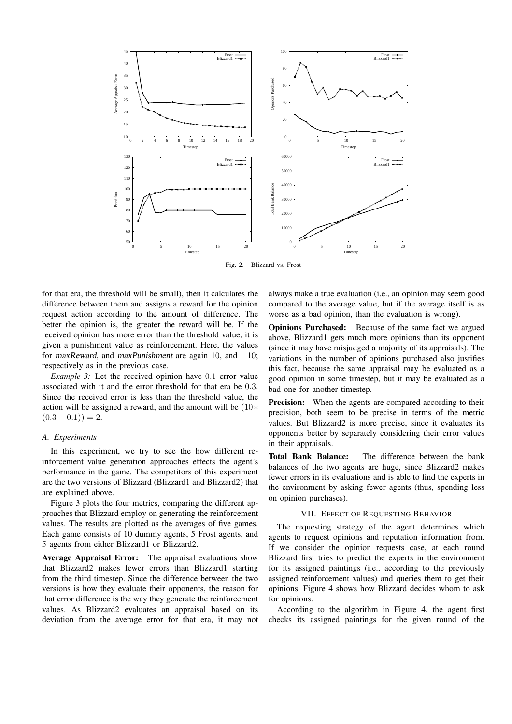

Fig. 2. Blizzard vs. Frost

for that era, the threshold will be small), then it calculates the difference between them and assigns a reward for the opinion request action according to the amount of difference. The better the opinion is, the greater the reward will be. If the received opinion has more error than the threshold value, it is given a punishment value as reinforcement. Here, the values for maxReward, and maxPunishment are again 10, and  $-10$ ; respectively as in the previous case.

*Example 3:* Let the received opinion have 0.1 error value associated with it and the error threshold for that era be 0.3. Since the received error is less than the threshold value, the action will be assigned a reward, and the amount will be (10∗  $(0.3 - 0.1) = 2.$ 

#### *A. Experiments*

In this experiment, we try to see the how different reinforcement value generation approaches effects the agent's performance in the game. The competitors of this experiment are the two versions of Blizzard (Blizzard1 and Blizzard2) that are explained above.

Figure 3 plots the four metrics, comparing the different approaches that Blizzard employ on generating the reinforcement values. The results are plotted as the averages of five games. Each game consists of 10 dummy agents, 5 Frost agents, and 5 agents from either Blizzard1 or Blizzard2.

Average Appraisal Error: The appraisal evaluations show that Blizzard2 makes fewer errors than Blizzard1 starting from the third timestep. Since the difference between the two versions is how they evaluate their opponents, the reason for that error difference is the way they generate the reinforcement values. As Blizzard2 evaluates an appraisal based on its deviation from the average error for that era, it may not

always make a true evaluation (i.e., an opinion may seem good compared to the average value, but if the average itself is as worse as a bad opinion, than the evaluation is wrong).

Opinions Purchased: Because of the same fact we argued above, Blizzard1 gets much more opinions than its opponent (since it may have misjudged a majority of its appraisals). The variations in the number of opinions purchased also justifies this fact, because the same appraisal may be evaluated as a good opinion in some timestep, but it may be evaluated as a bad one for another timestep.

**Precision:** When the agents are compared according to their precision, both seem to be precise in terms of the metric values. But Blizzard2 is more precise, since it evaluates its opponents better by separately considering their error values in their appraisals.

Total Bank Balance: The difference between the bank balances of the two agents are huge, since Blizzard2 makes fewer errors in its evaluations and is able to find the experts in the environment by asking fewer agents (thus, spending less on opinion purchases).

## VII. EFFECT OF REQUESTING BEHAVIOR

The requesting strategy of the agent determines which agents to request opinions and reputation information from. If we consider the opinion requests case, at each round Blizzard first tries to predict the experts in the environment for its assigned paintings (i.e., according to the previously assigned reinforcement values) and queries them to get their opinions. Figure 4 shows how Blizzard decides whom to ask for opinions.

According to the algorithm in Figure 4, the agent first checks its assigned paintings for the given round of the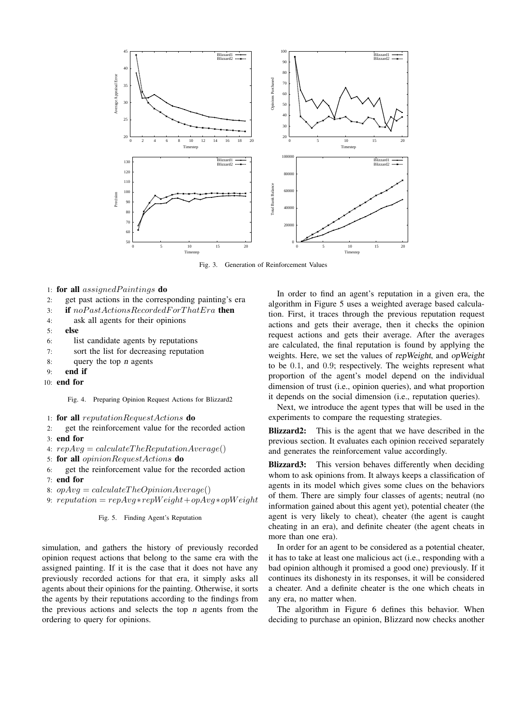

Fig. 3. Generation of Reinforcement Values

- 1: for all  $assained Paintinas$  do
- 2: get past actions in the corresponding painting's era
- 3: if  $no Past ActionsRecorded For That Era$  then
- 4: ask all agents for their opinions
- 5: else
- 6: list candidate agents by reputations
- 7: sort the list for decreasing reputation
- 8: query the top <sup>n</sup> agents
- 9: end if
- 10: end for

Fig. 4. Preparing Opinion Request Actions for Blizzard2

- 1: for all reputationRequestActions do
- 2: get the reinforcement value for the recorded action 3: end for
- 4:  $repAvg = calculateThe ReputationAverage()$
- 5: for all opinionRequestActions do
- 6: get the reinforcement value for the recorded action
- 7: end for
- 8:  $opAvg = calculateTheOpinionAverage()$
- 9: reputation =  $repAvg*repWeight + opAvg*opWeight$

#### Fig. 5. Finding Agent's Reputation

simulation, and gathers the history of previously recorded opinion request actions that belong to the same era with the assigned painting. If it is the case that it does not have any previously recorded actions for that era, it simply asks all agents about their opinions for the painting. Otherwise, it sorts the agents by their reputations according to the findings from the previous actions and selects the top <sup>n</sup> agents from the ordering to query for opinions.

In order to find an agent's reputation in a given era, the algorithm in Figure 5 uses a weighted average based calculation. First, it traces through the previous reputation request actions and gets their average, then it checks the opinion request actions and gets their average. After the averages are calculated, the final reputation is found by applying the weights. Here, we set the values of repWeight, and opWeight to be 0.1, and 0.9; respectively. The weights represent what proportion of the agent's model depend on the individual dimension of trust (i.e., opinion queries), and what proportion it depends on the social dimension (i.e., reputation queries).

Next, we introduce the agent types that will be used in the experiments to compare the requesting strategies.

Blizzard2: This is the agent that we have described in the previous section. It evaluates each opinion received separately and generates the reinforcement value accordingly.

Blizzard3: This version behaves differently when deciding whom to ask opinions from. It always keeps a classification of agents in its model which gives some clues on the behaviors of them. There are simply four classes of agents; neutral (no information gained about this agent yet), potential cheater (the agent is very likely to cheat), cheater (the agent is caught cheating in an era), and definite cheater (the agent cheats in more than one era).

In order for an agent to be considered as a potential cheater, it has to take at least one malicious act (i.e., responding with a bad opinion although it promised a good one) previously. If it continues its dishonesty in its responses, it will be considered a cheater. And a definite cheater is the one which cheats in any era, no matter when.

The algorithm in Figure 6 defines this behavior. When deciding to purchase an opinion, Blizzard now checks another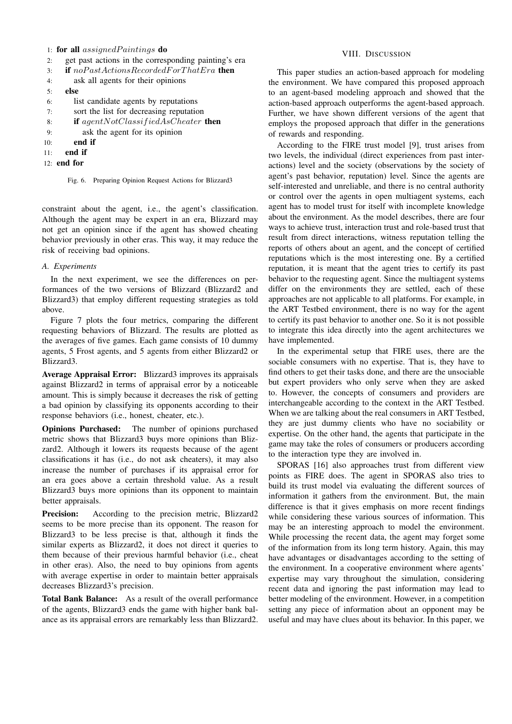#### 1: for all  $assigned \textit{Paintings}$  do

- 2: get past actions in the corresponding painting's era
- 3: if  $no PastActionsRecorded For That Era$  then
- 4: ask all agents for their opinions
- 5: else
- 6: list candidate agents by reputations
- 7: sort the list for decreasing reputation
- 8: **if** agentNotClassifiedAsCheater **then**
- 9: ask the agent for its opinion
- 10: end if
- 11: end if
- 12: end for

Fig. 6. Preparing Opinion Request Actions for Blizzard3

constraint about the agent, i.e., the agent's classification. Although the agent may be expert in an era, Blizzard may not get an opinion since if the agent has showed cheating behavior previously in other eras. This way, it may reduce the risk of receiving bad opinions.

## *A. Experiments*

In the next experiment, we see the differences on performances of the two versions of Blizzard (Blizzard2 and Blizzard3) that employ different requesting strategies as told above.

Figure 7 plots the four metrics, comparing the different requesting behaviors of Blizzard. The results are plotted as the averages of five games. Each game consists of 10 dummy agents, 5 Frost agents, and 5 agents from either Blizzard2 or Blizzard3.

Average Appraisal Error: Blizzard3 improves its appraisals against Blizzard2 in terms of appraisal error by a noticeable amount. This is simply because it decreases the risk of getting a bad opinion by classifying its opponents according to their response behaviors (i.e., honest, cheater, etc.).

Opinions Purchased: The number of opinions purchased metric shows that Blizzard3 buys more opinions than Blizzard2. Although it lowers its requests because of the agent classifications it has (i.e., do not ask cheaters), it may also increase the number of purchases if its appraisal error for an era goes above a certain threshold value. As a result Blizzard3 buys more opinions than its opponent to maintain better appraisals.

Precision: According to the precision metric, Blizzard2 seems to be more precise than its opponent. The reason for Blizzard3 to be less precise is that, although it finds the similar experts as Blizzard2, it does not direct it queries to them because of their previous harmful behavior (i.e., cheat in other eras). Also, the need to buy opinions from agents with average expertise in order to maintain better appraisals decreases Blizzard3's precision.

Total Bank Balance: As a result of the overall performance of the agents, Blizzard3 ends the game with higher bank balance as its appraisal errors are remarkably less than Blizzard2.

# VIII. DISCUSSION

This paper studies an action-based approach for modeling the environment. We have compared this proposed approach to an agent-based modeling approach and showed that the action-based approach outperforms the agent-based approach. Further, we have shown different versions of the agent that employs the proposed approach that differ in the generations of rewards and responding.

According to the FIRE trust model [9], trust arises from two levels, the individual (direct experiences from past interactions) level and the society (observations by the society of agent's past behavior, reputation) level. Since the agents are self-interested and unreliable, and there is no central authority or control over the agents in open multiagent systems, each agent has to model trust for itself with incomplete knowledge about the environment. As the model describes, there are four ways to achieve trust, interaction trust and role-based trust that result from direct interactions, witness reputation telling the reports of others about an agent, and the concept of certified reputations which is the most interesting one. By a certified reputation, it is meant that the agent tries to certify its past behavior to the requesting agent. Since the multiagent systems differ on the environments they are settled, each of these approaches are not applicable to all platforms. For example, in the ART Testbed environment, there is no way for the agent to certify its past behavior to another one. So it is not possible to integrate this idea directly into the agent architectures we have implemented.

In the experimental setup that FIRE uses, there are the sociable consumers with no expertise. That is, they have to find others to get their tasks done, and there are the unsociable but expert providers who only serve when they are asked to. However, the concepts of consumers and providers are interchangeable according to the context in the ART Testbed. When we are talking about the real consumers in ART Testbed, they are just dummy clients who have no sociability or expertise. On the other hand, the agents that participate in the game may take the roles of consumers or producers according to the interaction type they are involved in.

SPORAS [16] also approaches trust from different view points as FIRE does. The agent in SPORAS also tries to build its trust model via evaluating the different sources of information it gathers from the environment. But, the main difference is that it gives emphasis on more recent findings while considering these various sources of information. This may be an interesting approach to model the environment. While processing the recent data, the agent may forget some of the information from its long term history. Again, this may have advantages or disadvantages according to the setting of the environment. In a cooperative environment where agents' expertise may vary throughout the simulation, considering recent data and ignoring the past information may lead to better modeling of the environment. However, in a competition setting any piece of information about an opponent may be useful and may have clues about its behavior. In this paper, we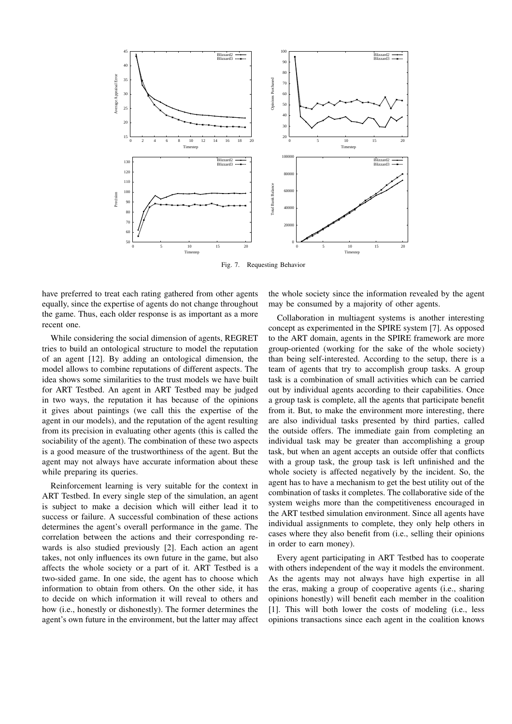

Fig. 7. Requesting Behavior

have preferred to treat each rating gathered from other agents equally, since the expertise of agents do not change throughout the game. Thus, each older response is as important as a more recent one.

While considering the social dimension of agents, REGRET tries to build an ontological structure to model the reputation of an agent [12]. By adding an ontological dimension, the model allows to combine reputations of different aspects. The idea shows some similarities to the trust models we have built for ART Testbed. An agent in ART Testbed may be judged in two ways, the reputation it has because of the opinions it gives about paintings (we call this the expertise of the agent in our models), and the reputation of the agent resulting from its precision in evaluating other agents (this is called the sociability of the agent). The combination of these two aspects is a good measure of the trustworthiness of the agent. But the agent may not always have accurate information about these while preparing its queries.

Reinforcement learning is very suitable for the context in ART Testbed. In every single step of the simulation, an agent is subject to make a decision which will either lead it to success or failure. A successful combination of these actions determines the agent's overall performance in the game. The correlation between the actions and their corresponding rewards is also studied previously [2]. Each action an agent takes, not only influences its own future in the game, but also affects the whole society or a part of it. ART Testbed is a two-sided game. In one side, the agent has to choose which information to obtain from others. On the other side, it has to decide on which information it will reveal to others and how (i.e., honestly or dishonestly). The former determines the agent's own future in the environment, but the latter may affect

the whole society since the information revealed by the agent may be consumed by a majority of other agents.

Collaboration in multiagent systems is another interesting concept as experimented in the SPIRE system [7]. As opposed to the ART domain, agents in the SPIRE framework are more group-oriented (working for the sake of the whole society) than being self-interested. According to the setup, there is a team of agents that try to accomplish group tasks. A group task is a combination of small activities which can be carried out by individual agents according to their capabilities. Once a group task is complete, all the agents that participate benefit from it. But, to make the environment more interesting, there are also individual tasks presented by third parties, called the outside offers. The immediate gain from completing an individual task may be greater than accomplishing a group task, but when an agent accepts an outside offer that conflicts with a group task, the group task is left unfinished and the whole society is affected negatively by the incident. So, the agent has to have a mechanism to get the best utility out of the combination of tasks it completes. The collaborative side of the system weighs more than the competitiveness encouraged in the ART testbed simulation environment. Since all agents have individual assignments to complete, they only help others in cases where they also benefit from (i.e., selling their opinions in order to earn money).

Every agent participating in ART Testbed has to cooperate with others independent of the way it models the environment. As the agents may not always have high expertise in all the eras, making a group of cooperative agents (i.e., sharing opinions honestly) will benefit each member in the coalition [1]. This will both lower the costs of modeling (i.e., less opinions transactions since each agent in the coalition knows